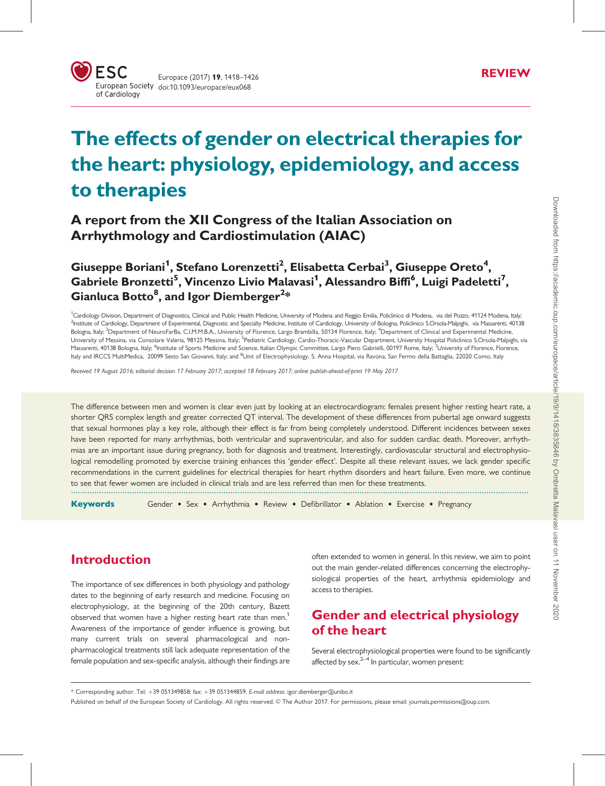

# The effects of gender on electrical therapies for the heart: physiology, epidemiology, and access to therapies

# A report from the XII Congress of the Italian Association on Arrhythmology and Cardiostimulation (AIAC)

 ${\sf Giuseppe}$  Boriani $^1$ , Stefano Lorenzetti $^2$ , Elisabetta Cerbai $^3$ , Giuseppe Oreto $^4$ ,  ${\sf Gabriel~Bronzetti}^5,$  Vincenzo Livio Malavasi $^1$ , Alessandro Biffi $^6$ , Luigi Padeletti $^7,$ Gianluca Botto $^{\rm 8}$ , and Igor Diemberger $^{\rm 2\ast}$ 

<sup>1</sup>Cardiology Division, Department of Diagnostics, Clinical and Public Health Medicine, University of Modena and Reggio Emilia, Policlinico di Modena, via del Pozzo, 41124 Modena, Italy; <sup>2</sup>Institute of Cardiology, Department of Experimental, Diagnostic and Specialty Medicine, Institute of Cardiology, University of Bologna, Policlinico S.Orsola-Malpighi, via Massarenti, 40138 Bologna, Italy; <sup>3</sup>Department of NeuroFarBa, C.I.M.M.B.A., University of Florence, Largo Brambilla, 50134 Florence, Italy; <sup>4</sup>Department of Clinical and Experimental Medicine, University of Messina, via Consolare Valeria, 98125 Messina, Italy; <sup>5</sup>Pediatric Cardiology, Cardio-Thoracic-Vascular Department, University Hospital Policlinico S.Orsola-Malpighi, via Massarenti, 40138 Bologna, Italy; <sup>6</sup>Institute of Sports Medicine and Science, Italian Olympic Committee, Largo Piero Gabrielli, 00197 Rome, Italy; <sup>7</sup>University of Florence, Florence, Italy and IRCCS MultiMedica, 20099 Sesto San Giovanni, Italy; and <sup>8</sup>Unit of Electrophysiology, S. Anna Hospital, via Ravona, San Fermo della Battaglia, 22020 Como, Italy

Received 19 August 2016; editorial decision 17 February 2017; accepted 18 February 2017; online publish-ahead-of-print 19 May 2017

The difference between men and women is clear even just by looking at an electrocardiogram: females present higher resting heart rate, a shorter QRS complex length and greater corrected QT interval. The development of these differences from pubertal age onward suggests that sexual hormones play a key role, although their effect is far from being completely understood. Different incidences between sexes have been reported for many arrhythmias, both ventricular and supraventricular, and also for sudden cardiac death. Moreover, arrhythmias are an important issue during pregnancy, both for diagnosis and treatment. Interestingly, cardiovascular structural and electrophysiological remodelling promoted by exercise training enhances this 'gender effect'. Despite all these relevant issues, we lack gender specific recommendations in the current guidelines for electrical therapies for heart rhythm disorders and heart failure. Even more, we continue to see that fewer women are included in clinical trials and are less referred than men for these treatments. ...................................................................................................................................................................................................

Keywords Gender • Sex • Arrhythmia • Review • Defibrillator • Ablation • Exercise • Pregnancy

# Introduction

The importance of sex differences in both physiology and pathology dates to the beginning of early research and medicine. Focusing on electrophysiology, at the beginning of the 20th century, Bazett observed that women have a higher resting heart rate than men.<sup>1</sup> Awareness of the importance of gender influence is growing, but many current trials on several pharmacological and nonpharmacological treatments still lack adequate representation of the female population and sex-specific analysis, although their findings are often extended to women in general. In this review, we aim to point out the main gender-related differences concerning the electrophysiological properties of the heart, arrhythmia epidemiology and access to therapies.

# Gender and electrical physiology of the heart

Several electrophysiological properties were found to be significantly affected by sex. $2-4$  In particular, women present:

<sup>\*</sup> Corresponding author. Tel: +39 051349858; fax: +39 051344859. E-mail address: igor.diemberger@unibo.it

Published on behalf of the European Society of Cardiology. All rights reserved. © The Author 2017. For permissions, please email: journals.permissions@oup.com.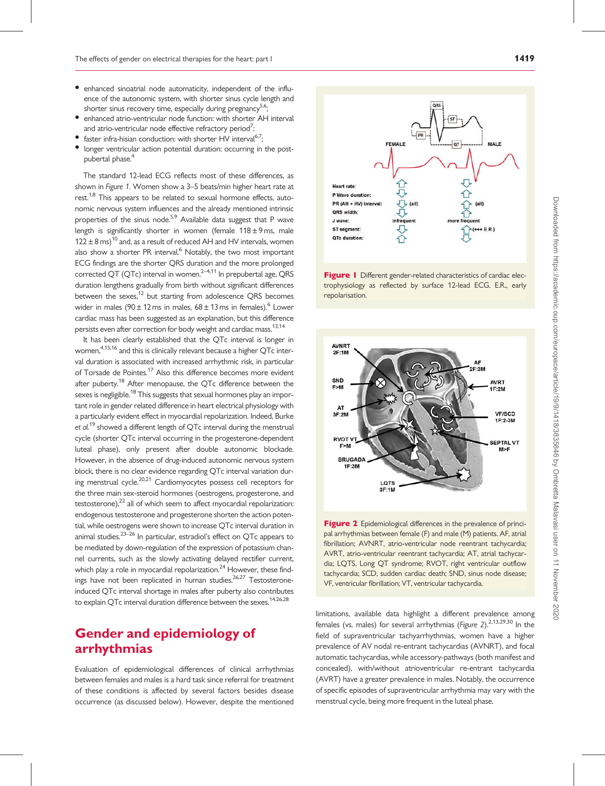- enhanced sinoatrial node automaticity, independent of the influence of the autonomic system, with shorter sinus cycle length and shorter sinus recovery time, especially during pregnancy<sup>5,6</sup>;
- enhanced atrio-ventricular node function: with shorter AH interval and atrio-ventricular node effective refractory period<sup>7</sup>; ;
- faster infra-hisian conduction: with shorter  $HV$  interval<sup>6,7</sup>;
- longer ventricular action potential duration: occurring in the postpubertal phase.<sup>4</sup>

The standard 12-lead ECG reflects most of these differences, as shown in Figure 1. Women show a 3–5 beats/min higher heart rate at rest.<sup>1,8</sup> This appears to be related to sexual hormone effects, autonomic nervous system influences and the already mentioned intrinsic properties of the sinus node.5,9 Available data suggest that P wave length is significantly shorter in women (female  $118 \pm 9$  ms, male  $122 \pm 8$  ms)<sup>10</sup> and, as a result of reduced AH and HV intervals, women also show a shorter PR interval.<sup>6</sup> Notably, the two most important ECG findings are the shorter QRS duration and the more prolonged corrected QT (QTc) interval in women.<sup>2–4,11</sup> In prepubertal age, QRS duration lengthens gradually from birth without significant differences between the sexes,<sup>12</sup> but starting from adolescence QRS becomes wider in males (90  $\pm$  12 ms in males, 68  $\pm$  13 ms in females).<sup>6</sup> Lower cardiac mass has been suggested as an explanation, but this difference persists even after correction for body weight and cardiac mass.<sup>13,14</sup>

It has been clearly established that the QTc interval is longer in women,<sup>4,15,16</sup> and this is clinically relevant because a higher QTc interval duration is associated with increased arrhythmic risk, in particular of Torsade de Pointes.<sup>17</sup> Also this difference becomes more evident after puberty.<sup>18</sup> After menopause, the QTc difference between the sexes is negligible.<sup>18</sup> This suggests that sexual hormones play an important role in gender related difference in heart electrical physiology with a particularly evident effect in myocardial repolarization. Indeed, Burke et  $al^{19}$  showed a different length of QTc interval during the menstrual cycle (shorter QTc interval occurring in the progesterone-dependent luteal phase), only present after double autonomic blockade. However, in the absence of drug-induced autonomic nervous system block, there is no clear evidence regarding QTc interval variation during menstrual cycle.<sup>20,21</sup> Cardiomyocytes possess cell receptors for the three main sex-steroid hormones (oestrogens, progesterone, and testosterone), $^{22}$  all of which seem to affect myocardial repolarization: endogenous testosterone and progesterone shorten the action potential, while oestrogens were shown to increase QTc interval duration in animal studies. $23-26$  In particular, estradiol's effect on QTc appears to be mediated by down-regulation of the expression of potassium channel currents, such as the slowly activating delayed rectifier current, which play a role in myocardial repolarization.<sup>24</sup> However, these findings have not been replicated in human studies.<sup>26,27</sup> Testosteroneinduced QTc interval shortage in males after puberty also contributes to explain QTc interval duration difference between the sexes.<sup>14,26,28</sup>

# Gender and epidemiology of arrhythmias

Evaluation of epidemiological differences of clinical arrhythmias between females and males is a hard task since referral for treatment of these conditions is affected by several factors besides disease occurrence (as discussed below). However, despite the mentioned



Figure | Different gender-related characteristics of cardiac electrophysiology as reflected by surface 12-lead ECG. E.R., early repolarisation.



Figure 2 Epidemiological differences in the prevalence of principal arrhythmias between female (F) and male (M) patients. AF, atrial fibrillation; AVNRT, atrio-ventricular node reentrant tachycardia; AVRT, atrio-ventricular reentrant tachycardia; AT, atrial tachycardia; LQTS, Long QT syndrome; RVOT, right ventricular outflow tachycardia; SCD, sudden cardiac death; SND, sinus node disease; VF, ventricular fibrillation; VT, ventricular tachycardia.

limitations, available data highlight a different prevalence among females (vs. males) for several arrhythmias (Figure 2). $^{2,13,29,30}$  In the field of supraventricular tachyarrhythmias, women have a higher prevalence of AV nodal re-entrant tachycardias (AVNRT), and focal automatic tachycardias, while accessory-pathways (both manifest and concealed), with/without atrioventricular re-entrant tachycardia (AVRT) have a greater prevalence in males. Notably, the occurrence of specific episodes of supraventricular arrhythmia may vary with the menstrual cycle, being more frequent in the luteal phase.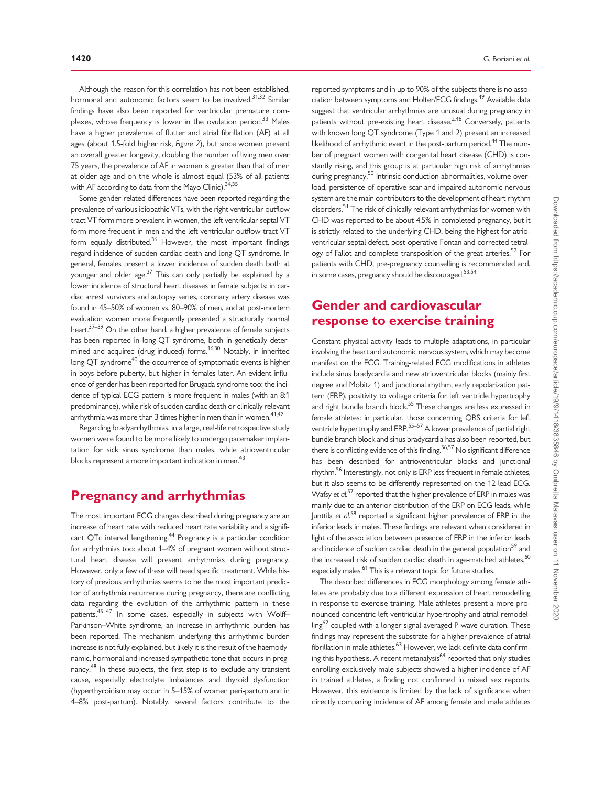Although the reason for this correlation has not been established, hormonal and autonomic factors seem to be involved.<sup>31,32</sup> Similar findings have also been reported for ventricular premature complexes, whose frequency is lower in the ovulation period.<sup>33</sup> Males have a higher prevalence of flutter and atrial fibrillation (AF) at all ages (about 1.5-fold higher risk, Figure 2), but since women present an overall greater longevity, doubling the number of living men over 75 years, the prevalence of AF in women is greater than that of men at older age and on the whole is almost equal (53% of all patients with AF according to data from the Mayo Clinic).<sup>34,35</sup>

Some gender-related differences have been reported regarding the prevalence of various idiopathic VTs, with the right ventricular outflow tract VT form more prevalent in women, the left ventricular septal VT form more frequent in men and the left ventricular outflow tract VT form equally distributed.<sup>36</sup> However, the most important findings regard incidence of sudden cardiac death and long-QT syndrome. In general, females present a lower incidence of sudden death both at younger and older age.<sup>37</sup> This can only partially be explained by a lower incidence of structural heart diseases in female subjects: in cardiac arrest survivors and autopsy series, coronary artery disease was found in 45–50% of women vs. 80–90% of men, and at post-mortem evaluation women more frequently presented a structurally normal heart.<sup>37–39</sup> On the other hand, a higher prevalence of female subjects has been reported in long-QT syndrome, both in genetically determined and acquired (drug induced) forms.<sup>16,30</sup> Notably, in inherited long-QT syndrome<sup>40</sup> the occurrence of symptomatic events is higher in boys before puberty, but higher in females later. An evident influence of gender has been reported for Brugada syndrome too: the incidence of typical ECG pattern is more frequent in males (with an 8:1 predominance), while risk of sudden cardiac death or clinically relevant arrhythmia was more than 3 times higher in men than in women.<sup>41,42</sup>

Regarding bradyarrhythmias, in a large, real-life retrospective study women were found to be more likely to undergo pacemaker implantation for sick sinus syndrome than males, while atrioventricular blocks represent a more important indication in men.<sup>43</sup>

#### Pregnancy and arrhythmias

The most important ECG changes described during pregnancy are an increase of heart rate with reduced heart rate variability and a significant QTc interval lengthening.<sup>44</sup> Pregnancy is a particular condition for arrhythmias too: about 1–4% of pregnant women without structural heart disease will present arrhythmias during pregnancy. However, only a few of these will need specific treatment. While history of previous arrhythmias seems to be the most important predictor of arrhythmia recurrence during pregnancy, there are conflicting data regarding the evolution of the arrhythmic pattern in these patients.<sup>45–47</sup> In some cases, especially in subjects with Wolff-Parkinson–White syndrome, an increase in arrhythmic burden has been reported. The mechanism underlying this arrhythmic burden increase is not fully explained, but likely it is the result of the haemodynamic, hormonal and increased sympathetic tone that occurs in pregnancy.<sup>48</sup> In these subjects, the first step is to exclude any transient cause, especially electrolyte imbalances and thyroid dysfunction (hyperthyroidism may occur in 5–15% of women peri-partum and in 4–8% post-partum). Notably, several factors contribute to the

reported symptoms and in up to 90% of the subjects there is no association between symptoms and Holter/ECG findings.<sup>49</sup> Available data suggest that ventricular arrhythmias are unusual during pregnancy in patients without pre-existing heart disease.<sup>2,46</sup> Conversely, patients with known long QT syndrome (Type 1 and 2) present an increased likelihood of arrhythmic event in the post-partum period.<sup>44</sup> The number of pregnant women with congenital heart disease (CHD) is constantly rising, and this group is at particular high risk of arrhythmias during pregnancy.<sup>50</sup> Intrinsic conduction abnormalities, volume overload, persistence of operative scar and impaired autonomic nervous system are the main contributors to the development of heart rhythm disorders.<sup>51</sup> The risk of clinically relevant arrhythmias for women with CHD was reported to be about 4.5% in completed pregnancy, but it is strictly related to the underlying CHD, being the highest for atrioventricular septal defect, post-operative Fontan and corrected tetralogy of Fallot and complete transposition of the great arteries.<sup>52</sup> For patients with CHD, pre-pregnancy counselling is recommended and, in some cases, pregnancy should be discouraged.<sup>53,54</sup>

# Gender and cardiovascular response to exercise training

Constant physical activity leads to multiple adaptations, in particular involving the heart and autonomic nervous system, which may become manifest on the ECG. Training-related ECG modifications in athletes include sinus bradycardia and new atrioventricular blocks (mainly first degree and Mobitz 1) and junctional rhythm, early repolarization pattern (ERP), positivity to voltage criteria for left ventricle hypertrophy and right bundle branch block.<sup>55</sup> These changes are less expressed in female athletes: in particular, those concerning QRS criteria for left ventricle hypertrophy and ERP.<sup>55–57</sup> A lower prevalence of partial right bundle branch block and sinus bradycardia has also been reported, but there is conflicting evidence of this finding.<sup>56,57</sup> No significant difference has been described for antrioventricular blocks and junctional rhythm.<sup>56</sup> Interestingly, not only is ERP less frequent in female athletes, but it also seems to be differently represented on the 12-lead ECG. Wafsy et al.<sup>57</sup> reported that the higher prevalence of ERP in males was mainly due to an anterior distribution of the ERP on ECG leads, while Junttila et al.<sup>58</sup> reported a significant higher prevalence of ERP in the inferior leads in males. These findings are relevant when considered in light of the association between presence of ERP in the inferior leads and incidence of sudden cardiac death in the general population<sup>59</sup> and the increased risk of sudden cardiac death in age-matched athletes,  $60$ especially males.<sup>61</sup> This is a relevant topic for future studies.

The described differences in ECG morphology among female athletes are probably due to a different expression of heart remodelling in response to exercise training. Male athletes present a more pronounced concentric left ventricular hypertrophy and atrial remodelling<sup>62</sup> coupled with a longer signal-averaged P-wave duration. These findings may represent the substrate for a higher prevalence of atrial fibrillation in male athletes.<sup>63</sup> However, we lack definite data confirming this hypothesis. A recent metanalysis<sup>64</sup> reported that only studies enrolling exclusively male subjects showed a higher incidence of AF in trained athletes, a finding not confirmed in mixed sex reports. However, this evidence is limited by the lack of significance when directly comparing incidence of AF among female and male athletes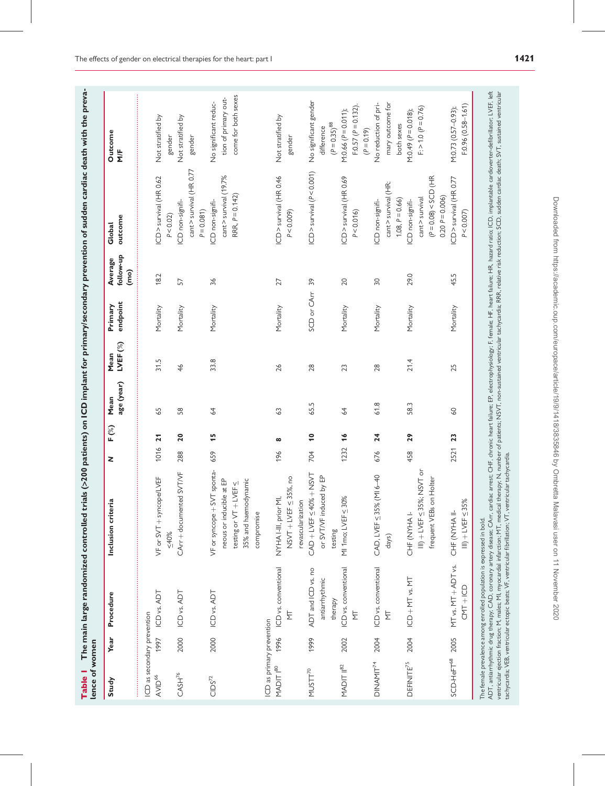| Study                       | Year | Procedure                 | Inclusion criteria                                                                          | Z    | $F$ $(%)$                | age (year)<br>Mean | LVEF (%)<br>Mean | endpoint<br>Primary | follow-up<br>Average<br>$\overline{(\mathsf{m}\mathsf{o})}$ | outcome<br>Global                                   | <b>Outcome</b><br>M/F                              |
|-----------------------------|------|---------------------------|---------------------------------------------------------------------------------------------|------|--------------------------|--------------------|------------------|---------------------|-------------------------------------------------------------|-----------------------------------------------------|----------------------------------------------------|
| ICD as secondary prevention |      |                           |                                                                                             |      |                          |                    |                  |                     |                                                             |                                                     |                                                    |
| AVID <sup>66</sup>          | 1997 | ICD vs. ADT               | VF or SVT + syncope/LVEF<br>${}_{6}$ 40%                                                    | 1016 | $\overline{21}$          | 59                 | 31.5             | Mortality           | 18.2                                                        | ICD > survival (HR 0.62<br>P < 0.02                 | Not stratified by<br>gender                        |
| $CASH^{76}$                 | 2000 | ICD vs. ADT               | SVTMF<br>CArr + documented                                                                  | 288  | 20                       | 58                 | $\frac{4}{6}$    | Mortality           | 57                                                          | ICD non-signifi-                                    | Not stratified by                                  |
|                             |      |                           |                                                                                             |      |                          |                    |                  |                     |                                                             | cant > survival (HR 0.77<br>$P = 0.081$             | gender                                             |
| $CIDS^{72}$                 | 2000 | ICD vs. ADT               | VF or syncope + SVT sponta-                                                                 | 659  | 15                       | 64                 | 33.8             | Mortality           | 36                                                          | ICD non-signifi-                                    | No significant reduc-                              |
|                             |      |                           | neous or inducible at EP<br>35% and haemodynamic<br>testing or $\sqrt{1} + L\sqrt{EF} \leq$ |      |                          |                    |                  |                     |                                                             | $\text{cant}$ > survival (19.7%<br>$RRR, P = 0.142$ | come for both sexes<br>tion of primary out-        |
|                             |      |                           | compromise                                                                                  |      |                          |                    |                  |                     |                                                             |                                                     |                                                    |
| ICD as primary prevention   |      |                           |                                                                                             |      |                          |                    |                  |                     |                                                             |                                                     |                                                    |
| MADIT 180                   | 1996 | ICD vs. conventional      | NYHA I-III, prior MI,                                                                       | 196  | $\infty$                 | 3                  | 26               | Mortality           | 27                                                          | $ICD >$ survival (HR 0.46                           | Not stratified by                                  |
|                             |      | 눛                         | 35%, no<br>$NSVT + LVEF \leq 3$<br>revascularization                                        |      |                          |                    |                  |                     |                                                             | P < 0.009                                           | gender                                             |
| $MUSTT^{70}$                | 1999 | ADT and ICD vs. no        | $CAD + LVEF \leq 40\% + NSVT$                                                               | 704  | $\overline{\phantom{0}}$ | 65.5               | 28               | SCD or CArr         | 39                                                          | $\mathsf{ICD}$ > survival ( $P$ < 0.001)            | No significant gender                              |
|                             |      | antiarrhythmic            | or SVT/VF induced by EP                                                                     |      |                          |                    |                  |                     |                                                             |                                                     | difference                                         |
|                             |      | therapy                   | testing                                                                                     |      |                          |                    |                  |                     |                                                             |                                                     | $(P = 0.35)^{88}$                                  |
| MADIT II <sup>82</sup>      | 2002 | ICD vs. conventional<br>눛 | MI 1mo; LVEF ≤ 30%                                                                          | 1232 | 16                       | 64                 | 23               | Mortality           | 20                                                          | ICD > survival (HR 0.69<br>P < 0.016                | F:0.57 ( $P = 0.132$ ).<br>M:0.66 ( $P = 0.011$ ); |
|                             |      |                           |                                                                                             |      |                          |                    |                  |                     |                                                             |                                                     | $(P = 0.19)$                                       |
| DIMAMIT <sup>74</sup>       | 2004 | ICD vs. conventional      | CAD, LVEF < 35% (MI 6-40                                                                    | 676  | 24                       | 61.8               | 28               | Mortality           | 30                                                          | ICD non-signifi-                                    | No reduction of pri-                               |
|                             |      | 눛                         | days)                                                                                       |      |                          |                    |                  |                     |                                                             | cant > survival (HR:                                | mary outcome for                                   |
|                             |      |                           |                                                                                             |      |                          |                    |                  |                     |                                                             | $1.08, P = 0.66$                                    | both sexes                                         |
| DEFINITE <sup>75</sup>      | 2004 | ICD+MT vs. MT             | NSVT or<br>III) + LVEF $\leq$ 35%;<br><b>UHANN</b>                                          | 458  | 29                       | 58.3               | 21.4             | Mortality           | 29.0                                                        | $cart$ survival<br>ICD non-signifi-                 | $F = 1.0 (P = 0.76)$<br>M:0.49 ( $P = 0.018$ );    |
|                             |      |                           | Holter<br>frequent VEBs on                                                                  |      |                          |                    |                  |                     |                                                             | $(P = 0.08)$ < SCD (HR                              |                                                    |
|                             |      |                           |                                                                                             |      |                          |                    |                  |                     |                                                             | $0.20 P = 0.006$                                    |                                                    |
| SCD-HeFT <sup>68</sup>      | 2005 | MT vs. MT + ADT vs.       | UHKHAZ<br>UHKHA                                                                             | 2521 | 23                       | $\overline{60}$    | 25               | Mortality           | 45.5                                                        | ICD > survival (HR 0.77                             | M:0.73 (0.57-0.93);                                |
|                             |      | $CNT + ICD$               | $III$ ) + LVEF $\leq$ 35%                                                                   |      |                          |                    |                  |                     |                                                             | P < 0.007                                           | $F:0.96(0.58-1.61)$                                |

ADT, antiarrhythmic drug therapy; CAD, coronary artery disease; CArr, cardiac arrest; CHF, chronic heart failure; EP, electrophysiology, F, female; HF, heart failure; HR, hazard ratio; ICD, implantable cardioverter-defibri ADT, antiarrhythmic drug therapy; CAD, coronary artery disease; CAm, cardiac arrest; CHF, chronic heart failure; EP, eenale; HF, heart failure; HF, hazard ratio; ICD, implantable cardioverter-defibrillator; LVEF, left ventricular ejection fraction; M, males; MI, myocardial infarction; MT, medical therapy; N, number of patients; NSVT, non-sustained ventricular tachycardia; RRR, relative risk reduction; SCD, sudden cardiac death; SVT, sus tachycardia; VEB, ventricular ectopic beats; VF, ventricular fibrillation; VT, ventricular tachycardia.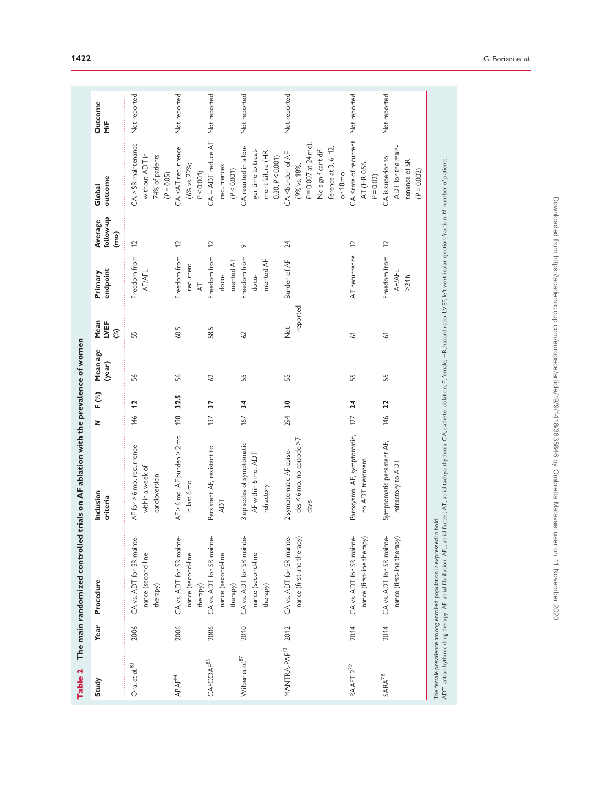| Study                         | Year | Procedure                                                               | Inclusion<br>criteria                                          | Z   | $F$ $(%)$                | Mean age<br>(year) | Mean<br><b>LVEF</b><br>(%) | endpoint<br>Primary                              | follow-up<br>Average<br>(mo) | outcome<br>Global                                                                                                                                             | <b>Outcome</b><br>$\frac{1}{2}$ |
|-------------------------------|------|-------------------------------------------------------------------------|----------------------------------------------------------------|-----|--------------------------|--------------------|----------------------------|--------------------------------------------------|------------------------------|---------------------------------------------------------------------------------------------------------------------------------------------------------------|---------------------------------|
| Oral et al. <sup>83</sup>     | 2006 | CA vs. ADT for SR mainte-<br>nance (second-line<br>therapy)             | AF for > 6 mo, recurrence<br>within a week of<br>cardioversion | 146 | 12                       | S6                 | 55                         | Freedom from<br><b>AF/AFL</b>                    | $\overline{c}$               | CA > SR maintenance<br>without ADT in<br>74% of patients                                                                                                      | Not reported                    |
| APAF <sup>84</sup>            | 2006 | CA vs. ADT for SR mainte-<br>nance (second-line                         | AF > 6 mo, AF burden > 2 mo<br>in last 6 mo                    | 198 | 32.5                     | 56                 | 60.5                       | Freedom from<br>recurrent                        | $\overline{12}$              | CA <at recurrence<br="">(6% vs. 22%;<br/><math>(P = 0.05)</math></at>                                                                                         | Not reported                    |
| <b>CAFCOAF<sup>85</sup></b>   | 2006 | CA vs. ADT for SR mainte-<br>nance (second-line<br>therapy)             | Persistent AF, resistant to<br>ADT                             | 137 | 27                       | $\Omega$           | 58.5                       | Freedom from<br>docu-<br>$\overline{\mathbf{y}}$ | $\overline{c}$               | CA+ADT reduce AT<br>recurrences<br>P < 0.001                                                                                                                  | Not reported                    |
| Wilber et al. <sup>87</sup>   | 2010 | CA vs. ADT for SR mainte-<br>nance (second-line<br>therapy)<br>therapy) | 3 episodes of symptomatic<br>AF within 6 mo, ADT<br>refractory | 167 | 34                       | 55                 | 62                         | Freedom from<br>mented AT<br>mented AF<br>docu-  | $\sigma$                     | CA resulted in a lon-<br>ger time to treat-<br>ment failure (HR<br>(P < 0.001)                                                                                | Not reported                    |
| MANTRA-PAF <sup>73</sup> 2012 |      | CA vs. ADT for SR mainte-<br>nance (first-line therapy)                 | des < 6 mo, no episode >7<br>2 symptomatic AF episo-<br>days   | 294 | $\overline{\mathbf{30}}$ | 55                 | reported<br>$\frac{1}{2}$  | Burden of AF                                     | 24                           | $P = 0.007$ at 24 mo).<br>ference at 3, 6, 12,<br>No significant dif-<br>CA <burden af<br="" of=""><math>0.30, P &lt; 0.001</math>)<br/>(9% vs. 18%,</burden> | Not reported                    |
| RAAFT 279                     | 2014 | CA vs. ADT for SR mainte-<br>nance (first-line therapy)                 | Paroxysmal AF, symptomatic,<br>no ADT treatment                | 127 | $\overline{24}$          | 55                 | $\overline{6}$             | AT recurrence                                    | $\frac{1}{2}$                | CA <rate of="" recurrent<br="">AT (HR 0.56,<br/>or 18 mo</rate>                                                                                               | Not reported                    |
| $SARA^{78}$                   | 2014 | CA vs. ADT for SR mainte-<br>nance (first-line therapy)                 | Symptomatic persistent AF,<br>refractory to ADT                | 146 | 22                       | 55                 | 51                         | Freedom from<br><b>AF/AFL</b><br>>24h            | $\overline{c}$               | ADT for the main-<br>CA is superior to<br>tenance of SR<br>$(P = 0.002)$<br>$P = 0.02$                                                                        | Not reported                    |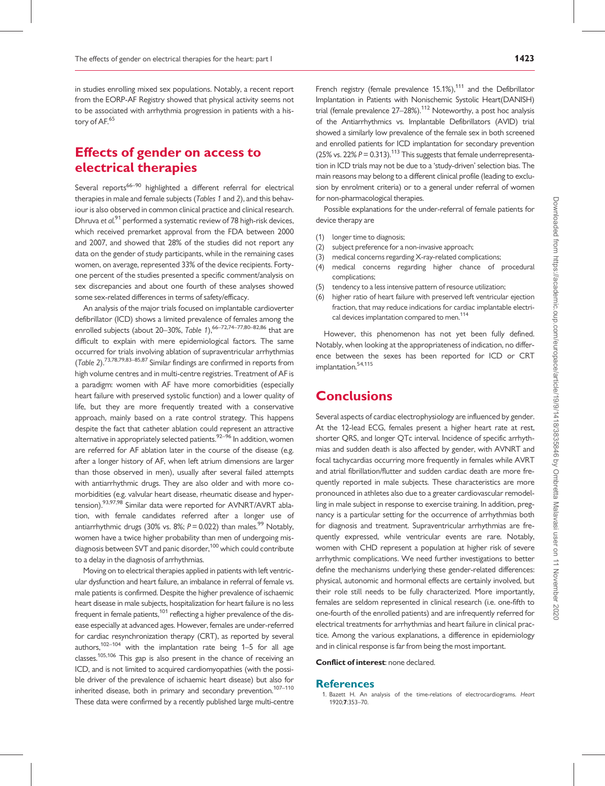in studies enrolling mixed sex populations. Notably, a recent report from the EORP-AF Registry showed that physical activity seems not to be associated with arrhythmia progression in patients with a history of AF.<sup>65</sup>

### Effects of gender on access to electrical therapies

Several reports<sup>66–90</sup> highlighted a different referral for electrical therapies in male and female subjects (Tables 1 and 2), and this behaviour is also observed in common clinical practice and clinical research. Dhruva et  $al^{91}$  performed a systematic review of 78 high-risk devices, which received premarket approval from the FDA between 2000 and 2007, and showed that 28% of the studies did not report any data on the gender of study participants, while in the remaining cases women, on average, represented 33% of the device recipients. Fortyone percent of the studies presented a specific comment/analysis on sex discrepancies and about one fourth of these analyses showed some sex-related differences in terms of safety/efficacy.

An analysis of the major trials focused on implantable cardioverter defibrillator (ICD) shows a limited prevalence of females among the enrolled subjects (about 20–30%, Table 1),  $66-72,74-77,80-82,86$  that are difficult to explain with mere epidemiological factors. The same occurred for trials involving ablation of supraventricular arrhythmias (Table 2).73,78,79,83–85,87 Similar findings are confirmed in reports from high volume centres and in multi-centre registries. Treatment of AF is a paradigm: women with AF have more comorbidities (especially heart failure with preserved systolic function) and a lower quality of life, but they are more frequently treated with a conservative approach, mainly based on a rate control strategy. This happens despite the fact that catheter ablation could represent an attractive alternative in appropriately selected patients.  $92-96$  In addition, women are referred for AF ablation later in the course of the disease (e.g. after a longer history of AF, when left atrium dimensions are larger than those observed in men), usually after several failed attempts with antiarrhythmic drugs. They are also older and with more comorbidities (e.g. valvular heart disease, rheumatic disease and hypertension).<sup>93,97,98</sup> Similar data were reported for AVNRT/AVRT ablation, with female candidates referred after a longer use of antiarrhythmic drugs (30% vs. 8%;  $P = 0.022$ ) than males.<sup>99</sup> Notably, women have a twice higher probability than men of undergoing misdiagnosis between SVT and panic disorder,<sup>100</sup> which could contribute to a delay in the diagnosis of arrhythmias.

Moving on to electrical therapies applied in patients with left ventricular dysfunction and heart failure, an imbalance in referral of female vs. male patients is confirmed. Despite the higher prevalence of ischaemic heart disease in male subjects, hospitalization for heart failure is no less frequent in female patients,<sup>101</sup> reflecting a higher prevalence of the disease especially at advanced ages. However, females are under-referred for cardiac resynchronization therapy (CRT), as reported by several authors, $102-104$  with the implantation rate being  $1-5$  for all age classes.105,106 This gap is also present in the chance of receiving an ICD, and is not limited to acquired cardiomyopathies (with the possible driver of the prevalence of ischaemic heart disease) but also for inherited disease, both in primary and secondary prevention. $107-110$ These data were confirmed by a recently published large multi-centre

French registry (female prevalence 15.1%),<sup>111</sup> and the Defibrillator Implantation in Patients with Nonischemic Systolic Heart(DANISH) trial (female prevalence 27–28%).<sup>112</sup> Noteworthy, a post hoc analysis of the Antiarrhythmics vs. Implantable Defibrillators (AVID) trial showed a similarly low prevalence of the female sex in both screened and enrolled patients for ICD implantation for secondary prevention (25% vs. 22%  $P = 0.313$ ).<sup>113</sup> This suggests that female underrepresentation in ICD trials may not be due to a 'study-driven' selection bias. The main reasons may belong to a different clinical profile (leading to exclusion by enrolment criteria) or to a general under referral of women for non-pharmacological therapies.

Possible explanations for the under-referral of female patients for device therapy are

- (1) longer time to diagnosis;
- (2) subject preference for a non-invasive approach;
- (3) medical concerns regarding X-ray-related complications;<br>(4) medical concerns regarding higher chance of
- medical concerns regarding higher chance of procedural complications;
- (5) tendency to a less intensive pattern of resource utilization;
- (6) higher ratio of heart failure with preserved left ventricular ejection fraction, that may reduce indications for cardiac implantable electrical devices implantation compared to men.<sup>114</sup>

However, this phenomenon has not yet been fully defined. Notably, when looking at the appropriateness of indication, no difference between the sexes has been reported for ICD or CRT implantation.<sup>54,115</sup>

#### **Conclusions**

Several aspects of cardiac electrophysiology are influenced by gender. At the 12-lead ECG, females present a higher heart rate at rest, shorter QRS, and longer QTc interval. Incidence of specific arrhythmias and sudden death is also affected by gender, with AVNRT and focal tachycardias occurring more frequently in females while AVRT and atrial fibrillation/flutter and sudden cardiac death are more frequently reported in male subjects. These characteristics are more pronounced in athletes also due to a greater cardiovascular remodelling in male subject in response to exercise training. In addition, pregnancy is a particular setting for the occurrence of arrhythmias both for diagnosis and treatment. Supraventricular arrhythmias are frequently expressed, while ventricular events are rare. Notably, women with CHD represent a population at higher risk of severe arrhythmic complications. We need further investigations to better define the mechanisms underlying these gender-related differences: physical, autonomic and hormonal effects are certainly involved, but their role still needs to be fully characterized. More importantly, females are seldom represented in clinical research (i.e. one-fifth to one-fourth of the enrolled patients) and are infrequently referred for electrical treatments for arrhythmias and heart failure in clinical practice. Among the various explanations, a difference in epidemiology and in clinical response is far from being the most important.

Conflict of interest: none declared.

#### References

1. Bazett H. An analysis of the time-relations of electrocardiograms. Heart 1920;7:353–70.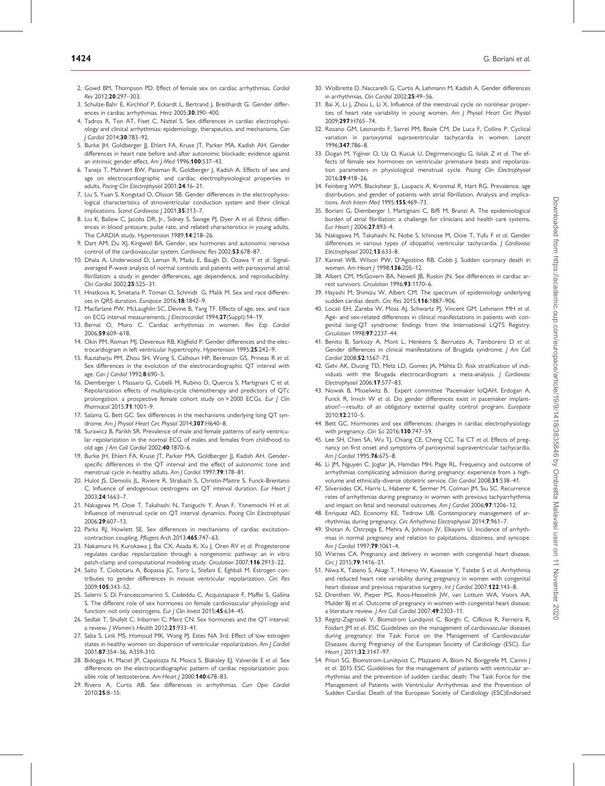- 3. Schulze-Bahr E, Kirchhof P, Eckardt L, Bertrand J, Breithardt G. Gender differences in cardiac arrhythmias. Herz 2005;30:390-400.
- 4. Tadros R, Ton AT, Fiset C, Nattel S. Sex differences in cardiac electrophysiology and clinical arrhythmias: epidemiology, therapeutics, and mechanisms. Can Cardiol 2014:30:783-92.
- 5. Burke JH, Goldberger JJ, Ehlert FA, Kruse JT, Parker MA, Kadish AH. Gender differences in heart rate before and after autonomic blockade: evidence against an intrinsic gender effect. Am J Med 1996;100:537-43.
- 6. Taneja T, Mahnert BW, Passman R, Goldberger J, Kadish A. Effects of sex and age on electrocardiographic and cardiac electrophysiological properties in adults. Pacing Clin Electrophysiol 2001;24:16–21.
- 7. Liu S, Yuan S, Kongstad O, Olsson SB. Gender differences in the electrophysiological characteristics of atrioventricular conduction system and their clinical implications. Scand Cardiovasc | 2001;35:313-7.
- 8. Liu K, Ballew C, Jacobs DR, Jr., Sidney S, Savage PJ, Dyer A et al. Ethnic differences in blood pressure, pulse rate, and related characteristics in young adults. The CARDIA study. Hypertension 1989;14:218–26.
- 9. Dart AM, Du XJ, Kingwell BA. Gender, sex hormones and autonomic nervous control of the cardiovascular system. Cardiovasc Res 2002;53:678–87.
- 10. Dhala A, Underwood D, Leman R, Madu E, Baugh D, Ozawa Y et al. Signalaveraged P-wave analysis of normal controls and patients with paroxysmal atrial fibrillation: a study in gender differences, age dependence, and reproducibility. Clin Cardiol 2002;25:525–31.
- 11. Hnatkova K, Smetana P, Toman O, Schmidt G, Malik M. Sex and race differences in QRS duration. Europace 2016;18:1842–9.
- 12. Macfarlane PW, McLaughlin SC, Devine B, Yang TF. Effects of age, sex, and race on ECG interval measurements. J Electrocardiol 1994;27(Suppl):14–19.
- 13. Bernal O, Moro C. Cardiac arrhythmias in women. Rev Esp Cardiol 2006;59:609–618.
- 14. Okin PM, Roman MJ, Devereux RB, Kligfield P. Gender differences and the electrocardiogram in left ventricular hypertrophy. Hypertension 1995;25:242–9.
- 15. Rautaharju PM, Zhou SH, Wong S, Calhoun HP, Berenson GS, Prineas R et al. Sex differences in the evolution of the electrocardiographic QT interval with age. Can J Cardiol 1992;8:690–5.
- 16. Diemberger I, Massaro G, Cubelli M, Rubino D, Quercia S, Martignani C et al. Repolarization effects of multiple-cycle chemotherapy and predictors of QTc prolongation: a prospective female cohort study on > 2000 ECGs. Eur J Clin Pharmacol 2015;71:1001–9.
- 17. Salama G, Bett GC. Sex differences in the mechanisms underlying long QT syndrome. Am J Physiol Heart Circ Physiol 2014;307:H640-8.
- 18. Surawicz B, Parikh SR. Prevalence of male and female patterns of early ventricular repolarization in the normal ECG of males and females from childhood to old age. J Am Coll Cardiol 2002;40:1870-6.
- 19. Burke JH, Ehlert FA, Kruse JT, Parker MA, Goldberger JJ, Kadish AH. Genderspecific differences in the QT interval and the effect of autonomic tone and menstrual cycle in healthy adults. Am J Cardiol 1997;79:178-81.
- 20. Hulot JS, Demolis JL, Riviere R, Strabach S, Christin-Maitre S, Funck-Brentano C. Influence of endogenous oestrogens on QT interval duration. Eur Heart J 2003;24:1663–7.
- 21. Nakagawa M, Ooie T, Takahashi N, Taniguchi Y, Anan F, Yonemochi H et al. Influence of menstrual cycle on QT interval dynamics. Pacing Clin Electrophysiol 2006;29:607–13.
- 22. Parks RJ, Howlett SE. Sex differences in mechanisms of cardiac excitationcontraction coupling. Pflugers Arch 2013;465:747–63.
- 23. Nakamura H, Kurokawa J, Bai CX, Asada K, Xu J, Oren RV et al. Progesterone regulates cardiac repolarization through a nongenomic pathway: an in vitro patch-clamp and computational modeling study. Circulation 2007;116:2913–22.
- 24. Saito T, Ciobotaru A, Bopassa JC, Toro L, Stefani E, Eghbali M. Estrogen contributes to gender differences in mouse ventricular repolarization. Circ Res 2009;105:343–52.
- 25. Salerni S, Di Francescomarino S, Cadeddu C, Acquistapace F, Maffei S, Gallina S. The different role of sex hormones on female cardiovascular physiology and function: not only oestrogens. Eur J Clin Invest 2015;45:634-45.
- 26. Sedlak T, Shufelt C, Iribarren C, Merz CN. Sex hormones and the QT interval: a review. J Women's Health 2012;21:933–41.
- 27. Saba S, Link MS, Homoud MK, Wang PJ, Estes NA 3rd. Effect of low estrogen states in healthy women on dispersion of ventricular repolarization. Am J Cardiol 2001;87:354–56, A359-310.
- 28. Bidoggia H, Maciel JP, Capalozza N, Mosca S, Blaksley EJ, Valverde E et al. Sex differences on the electrocardiographic pattern of cardiac repolarization: possible role of testosterone. Am Heart J 2000;140:678-83.
- 29. Rivero A, Curtis AB. Sex differences in arrhythmias. Curr Opin Cardiol 2010;25:8–15.
- 30. Wolbrette D, Naccarelli G, Curtis A, Lehmann M, Kadish A. Gender differences in arrhythmias. Clin Cardiol 2002;25:49-56.
- 31. Bai X, Li J, Zhou L, Li X. Influence of the menstrual cycle on nonlinear properties of heart rate variability in young women. Am J Physiol Heart Circ Physiol 2009;297:H765–74.
- 32. Rosano GM, Leonardo F, Sarrel PM, Beale CM, De Luca F, Collins P. Cyclical variation in paroxysmal supraventricular tachycardia in women. Lancet 1996;347:786–8.
- 33. Dogan M, Yiginer O, Uz O, Kucuk U, Degirmencioglu G, Isilak Z et al. The effects of female sex hormones on ventricular premature beats and repolarization parameters in physiological menstrual cycle. Pacing Clin Electrophysiol 2016;39:418–26.
- 34. Feinberg WM, Blackshear JL, Laupacis A, Kronmal R, Hart RG. Prevalence, age distribution, and gender of patients with atrial fibrillation. Analysis and implications. Arch Intern Med 1995;155:469–73.
- 35. Boriani G, Diemberger I, Martignani C, Biffi M, Branzi A. The epidemiological burden of atrial fibrillation: a challenge for clinicians and health care systems. Eur Heart J 2006;27:893–4.
- 36. Nakagawa M, Takahashi N, Nobe S, Ichinose M, Ooie T, Yufu F et al. Gender differences in various types of idiopathic ventricular tachycardia. | Cardiovasc Electrophysiol 2002;13:633–8.
- 37. Kannel WB, Wilson PW, D'Agostino RB, Cobb J. Sudden coronary death in women. Am Heart | 1998:136:205-12.
- 38. Albert CM, McGovern BA, Newell JB, Ruskin JN. Sex differences in cardiac arrest survivors. Circulation 1996;93:1170-6.
- 39. Hayashi M, Shimizu W, Albert CM. The spectrum of epidemiology underlying sudden cardiac death. Circ Res 2015;116:1887-906.
- 40. Locati EH, Zareba W, Moss AJ, Schwartz PJ, Vincent GM, Lehmann MH et al. Age- and sex-related differences in clinical manifestations in patients with congenital long-QT syndrome: findings from the International LQTS Registry. Circulation 1998;97:2237–44.
- 41. Benito B, Sarkozy A, Mont L, Henkens S, Berruezo A, Tamborero D et al. Gender differences in clinical manifestations of Brugada syndrome. J Am Coll Cardiol 2008;52:1567–73.
- 42. Gehi AK, Duong TD, Metz LD, Gomes JA, Mehta D. Risk stratification of individuals with the Brugada electrocardiogram: a meta-analysis. J Cardiovasc Electrophysiol 2006;17:577–83.
- 43. Nowak B, Misselwitz B, Expert committee 'Pacemaker IoQAH, Erdogan A, Funck R, Irnich W et al. Do gender differences exist in pacemaker implantation?—results of an obligatory external quality control program. Europace 2010;12:210–5.
- 44. Bett GC. Hormones and sex differences: changes in cardiac electrophysiology with pregnancy. Clin Sci 2016;130:747-59.
- 45. Lee SH, Chen SA, Wu TJ, Chiang CE, Cheng CC, Tai CT et al. Effects of pregnancy on first onset and symptoms of paroxysmal supraventricular tachycardia. Am I Cardiol 1995:76:675-8.
- 46. Li JM, Nguyen C, Joglar JA, Hamdan MH, Page RL. Frequency and outcome of arrhythmias complicating admission during pregnancy: experience from a highvolume and ethnically-diverse obstetric service. Clin Cardiol 2008;31:538–41.
- 47. Silversides CK, Harris L, Haberer K, Sermer M, Colman JM, Siu SC. Recurrence rates of arrhythmias during pregnancy in women with previous tachyarrhythmia and impact on fetal and neonatal outcomes. Am J Cardiol 2006;97:1206-12.
- 48. Enriquez AD, Economy KE, Tedrow UB. Contemporary management of arrhythmias during pregnancy. Circ Arrhythmia Electrophysiol 2014;7:961–7.
- 49. Shotan A, Ostrzega E, Mehra A, Johnson JV, Elkayam U. Incidence of arrhythmias in normal pregnancy and relation to palpitations, dizziness, and syncope. Am J Cardiol 1997;79:1061-4.
- 50. Warnes CA. Pregnancy and delivery in women with congenital heart disease. Circ | 2015;79:1416-21.
- 51. Niwa K, Tateno S, Akagi T, Himeno W, Kawasoe Y, Tatebe S et al. Arrhythmia and reduced heart rate variability during pregnancy in women with congenital heart disease and previous reparative surgery. Int J Cardiol 2007;122:143-8.
- 52. Drenthen W, Pieper PG, Roos-Hesselink JW, van Lottum WA, Voors AA, Mulder BJ et al. Outcome of pregnancy in women with congenital heart disease: a literature review. J Am Coll Cardiol 2007;49:2303–11.
- 53. Regitz-Zagrosek V, Blomstrom Lundqvist C, Borghi C, Cifkova R, Ferreira R, Foidart JM et al. ESC Guidelines on the management of cardiovascular diseases during pregnancy: the Task Force on the Management of Cardiovascular Diseases during Pregnancy of the European Society of Cardiology (ESC). Eur Heart 1 2011:32:3147-97.
- 54. Priori SG, Blomstrom-Lundqvist C, Mazzanti A, Blom N, Borggrefe M, Camm J et al. 2015 ESC Guidelines for the management of patients with ventricular arrhythmias and the prevention of sudden cardiac death: The Task Force for the Management of Patients with Ventricular Arrhythmias and the Prevention of Sudden Cardiac Death of the European Society of Cardiology (ESC)Endorsed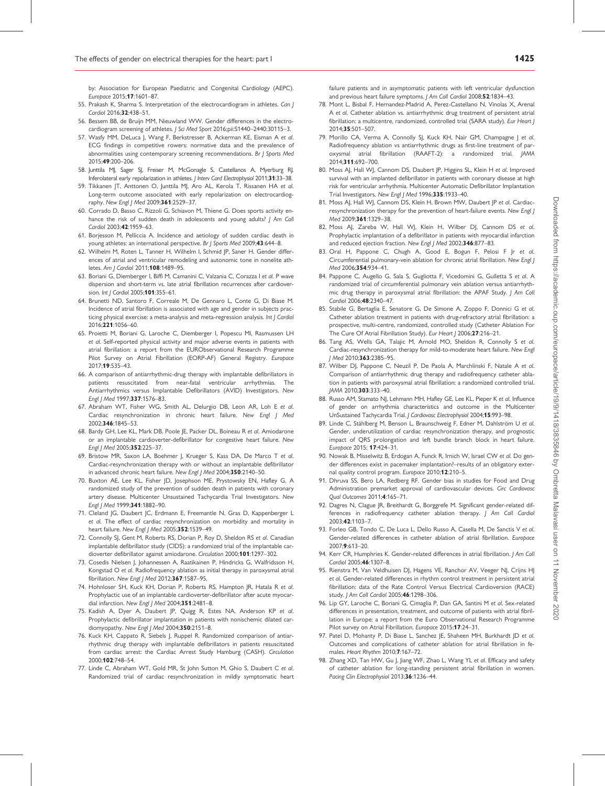by: Association for European Paediatric and Congenital Cardiology (AEPC). Europace 2015;17:1601–87.

- 55. Prakash K, Sharma S. Interpretation of the electrocardiogram in athletes. Can J Cardiol 2016;32:438–51.
- 56. Bessem BB, de Bruijn MM, Nieuwland WW. Gender differences in the electrocardiogram screening of athletes. J Sci Med Sport 2016;pii:S1440–2440:30115–3.
- 57. Wasfy MM, DeLuca J, Wang F, Berkstresser B, Ackerman KE, Eisman A et al. ECG findings in competitive rowers: normative data and the prevalence of abnormalities using contemporary screening recommendations. Br J Sports Med 2015;49:200–206.
- 58. Junttila MJ, Sager SJ, Freiser M, McGonagle S, Castellanos A, Myerburg RJ. Inferolateral early repolarization in athletes. J Interv Card Electrophysiol 2011;31:33–38.
- 59. Tikkanen JT, Anttonen O, Junttila MJ, Aro AL, Kerola T, Rissanen HA et al. Long-term outcome associated with early repolarization on electrocardiography. New Engl | Med 2009;361:2529-37.
- 60. Corrado D, Basso C, Rizzoli G, Schiavon M, Thiene G. Does sports activity enhance the risk of sudden death in adolescents and young adults? J Am Coll Cardiol 2003;42:1959–63.
- 61. Borjesson M, Pelliccia A. Incidence and aetiology of sudden cardiac death in young athletes: an international perspective. Br | Sports Med 2009;43:644-8.
- 62. Wilhelm M, Roten L, Tanner H, Wilhelm I, Schmid JP, Saner H. Gender differences of atrial and ventricular remodeling and autonomic tone in nonelite athletes. Am I Cardiol 2011:108:1489-95.
- 63. Boriani G, Diemberger I, Biffi M, Camanini C, Valzania C, Corazza I et al. P wave dispersion and short-term vs. late atrial fibrillation recurrences after cardioversion. Int I Cardiol 2005:101:355-61.
- 64. Brunetti ND, Santoro F, Correale M, De Gennaro L, Conte G, Di Biase M. Incidence of atrial fibrillation is associated with age and gender in subjects practicing physical exercise: a meta-analysis and meta-regression analysis. Int J Cardiol 2016;221:1056–60.
- 65. Proietti M, Boriani G, Laroche C, Diemberger I, Popescu MI, Rasmussen LH et al. Self-reported physical activity and major adverse events in patients with atrial fibrillation: a report from the EURObservational Research Programme Pilot Survey on Atrial Fibrillation (EORP-AF) General Registry. Europace 2017;19:535–43.
- 66. A comparison of antiarrhythmic-drug therapy with implantable defibrillators in patients resuscitated from near-fatal ventricular arrhythmias. The Antiarrhythmics versus Implantable Defibrillators (AVID) Investigators. New Engl J Med 1997:337:1576-83.
- 67. Abraham WT, Fisher WG, Smith AL, Delurgio DB, Leon AR, Loh E et al. Cardiac resynchronization in chronic heart failure. New Engl J Med 2002;346:1845–53.
- 68. Bardy GH, Lee KL, Mark DB, Poole JE, Packer DL, Boineau R et al. Amiodarone or an implantable cardioverter-defibrillator for congestive heart failure. New Engl J Med 2005;352:225–37.
- 69. Bristow MR, Saxon LA, Boehmer J, Krueger S, Kass DA, De Marco T et al. Cardiac-resynchronization therapy with or without an implantable defibrillator in advanced chronic heart failure. New Engl J Med 2004;350:2140-50.
- 70. Buxton AE, Lee KL, Fisher JD, Josephson ME, Prystowsky EN, Hafley G. A randomized study of the prevention of sudden death in patients with coronary artery disease. Multicenter Unsustained Tachycardia Trial Investigators. New Engl J Med 1999;341:1882–90.
- 71. Cleland JG, Daubert JC, Erdmann E, Freemantle N, Gras D, Kappenberger L et al. The effect of cardiac resynchronization on morbidity and mortality in heart failure. New Engl J Med 2005;352:1539-49.
- 72. Connolly SJ, Gent M, Roberts RS, Dorian P, Roy D, Sheldon RS et al. Canadian implantable defibrillator study (CIDS): a randomized trial of the implantable cardioverter defibrillator against amiodarone. Circulation 2000;101:1297–302.
- 73. Cosedis Nielsen J, Johannessen A, Raatikainen P, Hindricks G, Walfridsson H, Kongstad O et al. Radiofrequency ablation as initial therapy in paroxysmal atrial fibrillation. New Engl J Med 2012;367:1587-95.
- 74. Hohnloser SH, Kuck KH, Dorian P, Roberts RS, Hampton JR, Hatala R et al. Prophylactic use of an implantable cardioverter-defibrillator after acute myocardial infarction. New Engl | Med 2004;351:2481-8.
- 75. Kadish A, Dyer A, Daubert JP, Quigg R, Estes NA, Anderson KP et al. Prophylactic defibrillator implantation in patients with nonischemic dilated cardiomyopathy. New Engl | Med 2004;350:2151-8.
- 76. Kuck KH, Cappato R, Siebels J, Ruppel R. Randomized comparison of antiarrhythmic drug therapy with implantable defibrillators in patients resuscitated from cardiac arrest: the Cardiac Arrest Study Hamburg (CASH). Circulation 2000;102:748–54.
- 77. Linde C, Abraham WT, Gold MR, St John Sutton M, Ghio S, Daubert C et al. Randomized trial of cardiac resynchronization in mildly symptomatic heart

failure patients and in asymptomatic patients with left ventricular dysfunction and previous heart failure symptoms. J Am Coll Cardiol 2008;52:1834-43.

- 78. Mont L, Bisbal F, Hernandez-Madrid A, Perez-Castellano N, Vinolas X, Arenal A et al. Catheter ablation vs. antiarrhythmic drug treatment of persistent atrial fibrillation: a multicentre, randomized, controlled trial (SARA study). Eur Heart | 2014;35:501–507.
- 79. Morillo CA, Verma A, Connolly SJ, Kuck KH, Nair GM, Champagne | et al. Radiofrequency ablation vs antiarrhythmic drugs as first-line treatment of paroxysmal atrial fibrillation (RAAFT-2): a randomized trial. JAMA 2014;311:692–700.
- 80. Moss AJ, Hall WJ, Cannom DS, Daubert JP, Higgins SL, Klein H et al. Improved survival with an implanted defibrillator in patients with coronary disease at high risk for ventricular arrhythmia. Multicenter Automatic Defibrillator Implantation Trial Investigators. New Engl J Med 1996;335:1933-40.
- 81. Moss AJ, Hall WJ, Cannom DS, Klein H, Brown MW, Daubert JP et al. Cardiacresynchronization therapy for the prevention of heart-failure events. New Engl J Med 2009:361:1329-38.
- 82. Moss AJ, Zareba W, Hall WJ, Klein H, Wilber DJ, Cannom DS et al. Prophylactic implantation of a defibrillator in patients with myocardial infarction and reduced ejection fraction. New Engl | Med 2002;346:877-83.
- 83. Oral H, Pappone C, Chugh A, Good E, Bogun F, Pelosi F Jr et al. Circumferential pulmonary-vein ablation for chronic atrial fibrillation. New Engl J Med 2006;354:934–41.
- 84. Pappone C, Augello G, Sala S, Gugliotta F, Vicedomini G, Gulletta S et al. A randomized trial of circumferential pulmonary vein ablation versus antiarrhythmic drug therapy in paroxysmal atrial fibrillation: the APAF Study. J Am Coll Cardiol 2006;48:2340–47.
- 85. Stabile G, Bertaglia E, Senatore G, De Simone A, Zoppo F, Donnici G et al. Catheter ablation treatment in patients with drug-refractory atrial fibrillation: a prospective, multi-centre, randomized, controlled study (Catheter Ablation For The Cure Of Atrial Fibrillation Study). Eur Heart J 2006;27:216-21.
- 86. Tang AS, Wells GA, Talajic M, Arnold MO, Sheldon R, Connolly S et al. Cardiac-resynchronization therapy for mild-to-moderate heart failure. New Engl J Med 2010;363:2385–95.
- 87. Wilber DJ, Pappone C, Neuzil P, De Paola A, Marchlinski F, Natale A et al. Comparison of antiarrhythmic drug therapy and radiofrequency catheter ablation in patients with paroxysmal atrial fibrillation: a randomized controlled trial. JAMA 2010;303:333–40.
- 88. Russo AM, Stamato NJ, Lehmann MH, Hafley GE, Lee KL, Pieper K et al. Influence of gender on arrhythmia characteristics and outcome in the Multicenter UnSustained Tachycardia Trial. J Cardiovasc Electrophysiol 2004;15:993–98.
- 89. Linde C, Ståhlberg M, Benson L, Braunschweig F, Edner M, Dahlström U et al. Gender, underutilization of cardiac resynchronization therapy, and prognostic impact of QRS prolongation and left bundle branch block in heart failure. Europace 2015; 17:424–31.
- 90. Nowak B, Misselwitz B, Erdogan A, Funck R, Irnich W, Israel CW et al. Do gender differences exist in pacemaker implantation?–results of an obligatory external quality control program. Europace 2010;12:210–5.
- 91. Dhruva SS, Bero LA, Redberg RF. Gender bias in studies for Food and Drug Administration premarket approval of cardiovascular devices. Circ Cardiovasc Qual Outcomes 2011;4:165–71.
- 92. Dagres N, Clague JR, Breithardt G, Borggrefe M. Significant gender-related differences in radiofrequency catheter ablation therapy. J Am Coll Cardiol 2003;42:1103–7.
- 93. Forleo GB, Tondo C, De Luca L, Dello Russo A, Casella M, De Sanctis V et al. Gender-related differences in catheter ablation of atrial fibrillation. Europace 2007;9:613–20.
- 94. Kerr CR, Humphries K. Gender-related differences in atrial fibrillation. J Am Coll Cardiol 2005;46:1307–8.
- 95. Rienstra M, Van Veldhuisen DJ, Hagens VE, Ranchor AV, Veeger NJ, Crijns HJ et al. Gender-related differences in rhythm control treatment in persistent atrial fibrillation: data of the Rate Control Versus Electrical Cardioversion (RACE) study. J Am Coll Cardiol 2005;46:1298-306.
- 96. Lip GY, Laroche C, Boriani G, Cimaglia P, Dan GA, Santini M et al. Sex-related differences in presentation, treatment, and outcome of patients with atrial fibrillation in Europe: a report from the Euro Observational Research Programme Pilot survey on Atrial Fibrillation. Europace 2015;17:24–31.
- 97. Patel D, Mohanty P, Di Biase L, Sanchez JE, Shaheen MH, Burkhardt JD et al. Outcomes and complications of catheter ablation for atrial fibrillation in females. Heart Rhythm 2010;7:167–72.
- 98. Zhang XD, Tan HW, Gu J, Jiang WF, Zhao L, Wang YL et al. Efficacy and safety of catheter ablation for long-standing persistent atrial fibrillation in women. Pacing Clin Electrophysiol 2013;36:1236-44.